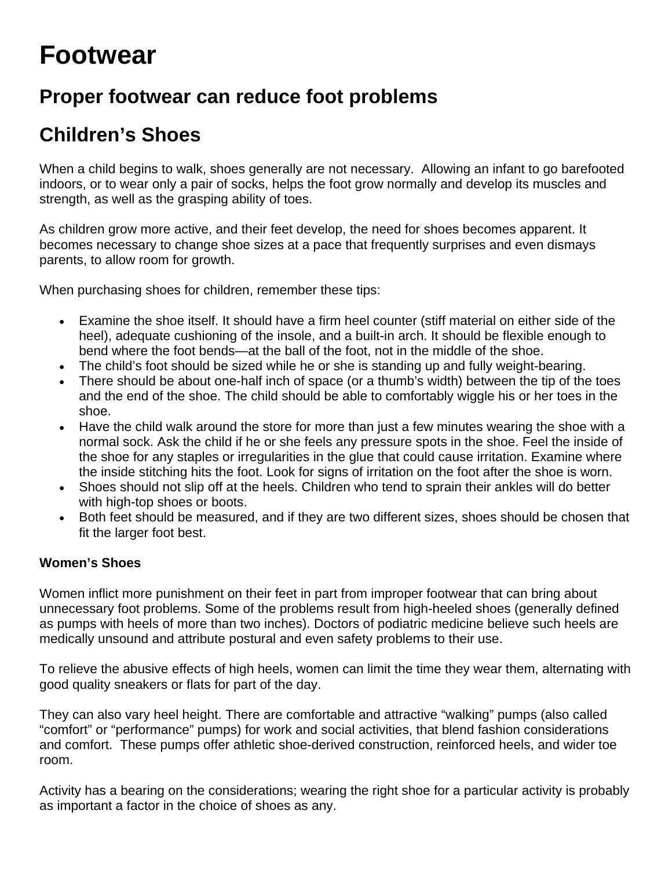# **Footwear**

# **Proper footwear can reduce foot problems**

# **Children's Shoes**

When a child begins to walk, shoes generally are not necessary. Allowing an infant to go barefooted indoors, or to wear only a pair of socks, helps the foot grow normally and develop its muscles and strength, as well as the grasping ability of toes.

As children grow more active, and their feet develop, the need for shoes becomes apparent. It becomes necessary to change shoe sizes at a pace that frequently surprises and even dismays parents, to allow room for growth.

When purchasing shoes for children, remember these tips:

- Examine the shoe itself. It should have a firm heel counter (stiff material on either side of the heel), adequate cushioning of the insole, and a built-in arch. It should be flexible enough to bend where the foot bends—at the ball of the foot, not in the middle of the shoe.
- The child's foot should be sized while he or she is standing up and fully weight-bearing.
- There should be about one-half inch of space (or a thumb's width) between the tip of the toes and the end of the shoe. The child should be able to comfortably wiggle his or her toes in the shoe.
- Have the child walk around the store for more than just a few minutes wearing the shoe with a normal sock. Ask the child if he or she feels any pressure spots in the shoe. Feel the inside of the shoe for any staples or irregularities in the glue that could cause irritation. Examine where the inside stitching hits the foot. Look for signs of irritation on the foot after the shoe is worn.
- Shoes should not slip off at the heels. Children who tend to sprain their ankles will do better with high-top shoes or boots.
- Both feet should be measured, and if they are two different sizes, shoes should be chosen that fit the larger foot best.

### **Women's Shoes**

Women inflict more punishment on their feet in part from improper footwear that can bring about unnecessary foot problems. Some of the problems result from high-heeled shoes (generally defined as pumps with heels of more than two inches). Doctors of podiatric medicine believe such heels are medically unsound and attribute postural and even safety problems to their use.

To relieve the abusive effects of high heels, women can limit the time they wear them, alternating with good quality sneakers or flats for part of the day.

They can also vary heel height. There are comfortable and attractive "walking" pumps (also called "comfort" or "performance" pumps) for work and social activities, that blend fashion considerations and comfort. These pumps offer athletic shoe-derived construction, reinforced heels, and wider toe room.

Activity has a bearing on the considerations; wearing the right shoe for a particular activity is probably as important a factor in the choice of shoes as any.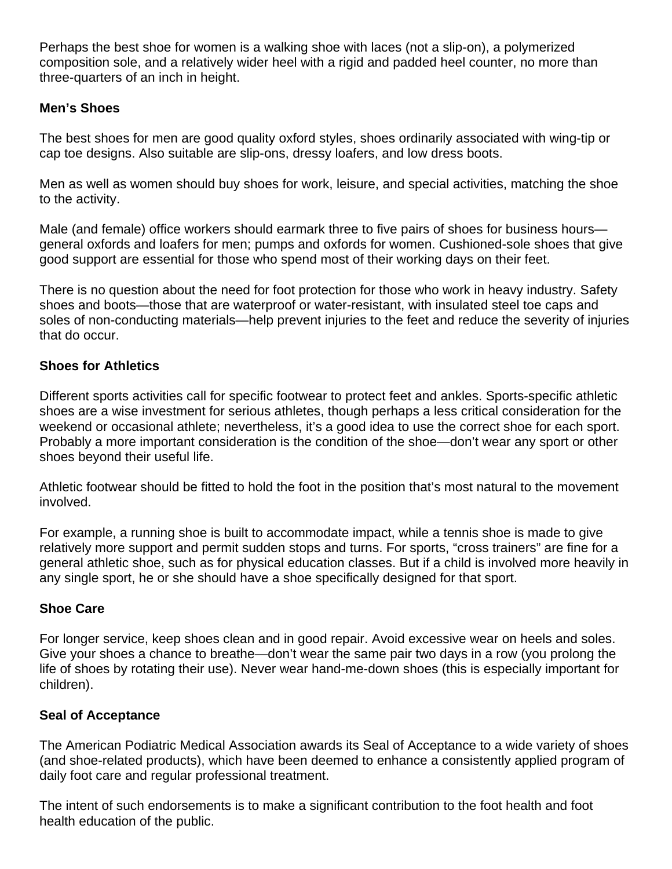Perhaps the best shoe for women is a walking shoe with laces (not a slip-on), a polymerized composition sole, and a relatively wider heel with a rigid and padded heel counter, no more than three-quarters of an inch in height.

#### **Men's Shoes**

The best shoes for men are good quality oxford styles, shoes ordinarily associated with wing-tip or cap toe designs. Also suitable are slip-ons, dressy loafers, and low dress boots.

Men as well as women should buy shoes for work, leisure, and special activities, matching the shoe to the activity.

Male (and female) office workers should earmark three to five pairs of shoes for business hours general oxfords and loafers for men; pumps and oxfords for women. Cushioned-sole shoes that give good support are essential for those who spend most of their working days on their feet.

There is no question about the need for foot protection for those who work in heavy industry. Safety shoes and boots—those that are waterproof or water-resistant, with insulated steel toe caps and soles of non-conducting materials—help prevent injuries to the feet and reduce the severity of injuries that do occur.

#### **Shoes for Athletics**

Different sports activities call for specific footwear to protect feet and ankles. Sports-specific athletic shoes are a wise investment for serious athletes, though perhaps a less critical consideration for the weekend or occasional athlete; nevertheless, it's a good idea to use the correct shoe for each sport. Probably a more important consideration is the condition of the shoe—don't wear any sport or other shoes beyond their useful life.

Athletic footwear should be fitted to hold the foot in the position that's most natural to the movement involved.

For example, a running shoe is built to accommodate impact, while a tennis shoe is made to give relatively more support and permit sudden stops and turns. For sports, "cross trainers" are fine for a general athletic shoe, such as for physical education classes. But if a child is involved more heavily in any single sport, he or she should have a shoe specifically designed for that sport.

#### **Shoe Care**

For longer service, keep shoes clean and in good repair. Avoid excessive wear on heels and soles. Give your shoes a chance to breathe—don't wear the same pair two days in a row (you prolong the life of shoes by rotating their use). Never wear hand-me-down shoes (this is especially important for children).

#### **Seal of Acceptance**

The American Podiatric Medical Association awards its Seal of Acceptance to a wide variety of shoes (and shoe-related products), which have been deemed to enhance a consistently applied program of daily foot care and regular professional treatment.

The intent of such endorsements is to make a significant contribution to the foot health and foot health education of the public.